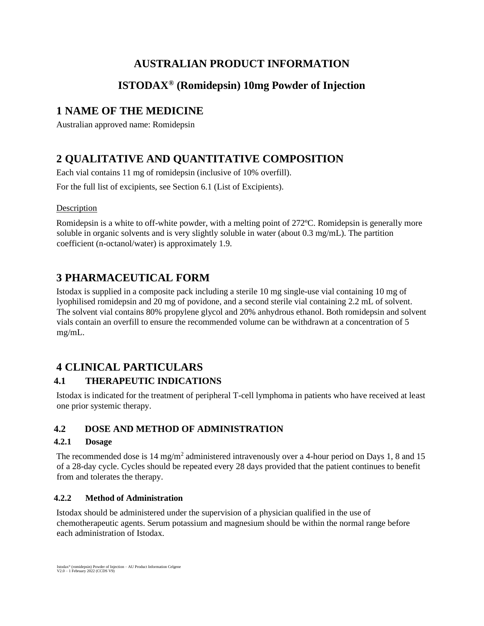# **AUSTRALIAN PRODUCT INFORMATION**

# **ISTODAX® (Romidepsin) 10mg Powder of Injection**

# **1 NAME OF THE MEDICINE**

Australian approved name: Romidepsin

# **2 QUALITATIVE AND QUANTITATIVE COMPOSITION**

Each vial contains 11 mg of romidepsin (inclusive of 10% overfill).

For the full list of excipients, see Section 6.1 (List of Excipients).

# Description

Romidepsin is a white to off-white powder, with a melting point of 272ºC. Romidepsin is generally more soluble in organic solvents and is very slightly soluble in water (about 0.3 mg/mL). The partition coefficient (n-octanol/water) is approximately 1.9.

# **3 PHARMACEUTICAL FORM**

Istodax is supplied in a composite pack including a sterile 10 mg single-use vial containing 10 mg of lyophilised romidepsin and 20 mg of povidone, and a second sterile vial containing 2.2 mL of solvent. The solvent vial contains 80% propylene glycol and 20% anhydrous ethanol. Both romidepsin and solvent vials contain an overfill to ensure the recommended volume can be withdrawn at a concentration of 5 mg/mL.

# **4 CLINICAL PARTICULARS**

# **4.1 THERAPEUTIC INDICATIONS**

Istodax is indicated for the treatment of peripheral T-cell lymphoma in patients who have received at least one prior systemic therapy.

# **4.2 DOSE AND METHOD OF ADMINISTRATION**

# **4.2.1 Dosage**

The recommended dose is 14 mg/m<sup>2</sup> administered intravenously over a 4-hour period on Days 1, 8 and 15 of a 28-day cycle. Cycles should be repeated every 28 days provided that the patient continues to benefit from and tolerates the therapy.

# **4.2.2 Method of Administration**

Istodax should be administered under the supervision of a physician qualified in the use of chemotherapeutic agents. Serum potassium and magnesium should be within the normal range before each administration of Istodax.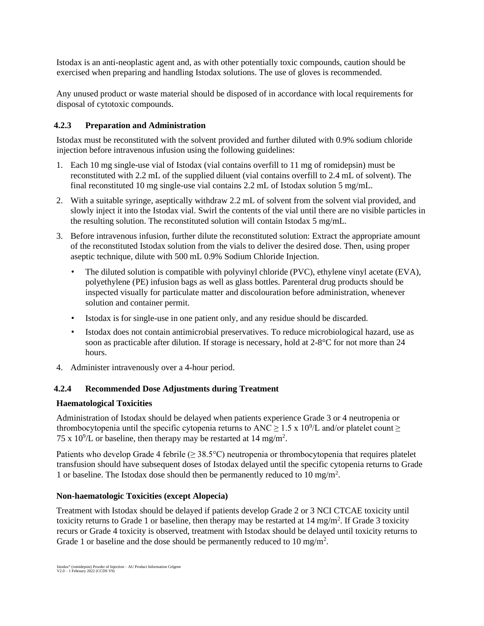Istodax is an anti-neoplastic agent and, as with other potentially toxic compounds, caution should be exercised when preparing and handling Istodax solutions. The use of gloves is recommended.

Any unused product or waste material should be disposed of in accordance with local requirements for disposal of cytotoxic compounds.

## **4.2.3 Preparation and Administration**

Istodax must be reconstituted with the solvent provided and further diluted with 0.9% sodium chloride injection before intravenous infusion using the following guidelines:

- 1. Each 10 mg single-use vial of Istodax (vial contains overfill to 11 mg of romidepsin) must be reconstituted with 2.2 mL of the supplied diluent (vial contains overfill to 2.4 mL of solvent). The final reconstituted 10 mg single-use vial contains 2.2 mL of Istodax solution 5 mg/mL.
- 2. With a suitable syringe, aseptically withdraw 2.2 mL of solvent from the solvent vial provided, and slowly inject it into the Istodax vial. Swirl the contents of the vial until there are no visible particles in the resulting solution. The reconstituted solution will contain Istodax 5 mg/mL.
- 3. Before intravenous infusion, further dilute the reconstituted solution: Extract the appropriate amount of the reconstituted Istodax solution from the vials to deliver the desired dose. Then, using proper aseptic technique, dilute with 500 mL 0.9% Sodium Chloride Injection.
	- The diluted solution is compatible with polyvinyl chloride (PVC), ethylene vinyl acetate (EVA), polyethylene (PE) infusion bags as well as glass bottles. Parenteral drug products should be inspected visually for particulate matter and discolouration before administration, whenever solution and container permit.
	- Istodax is for single-use in one patient only, and any residue should be discarded.
	- Istodax does not contain antimicrobial preservatives. To reduce microbiological hazard, use as soon as practicable after dilution. If storage is necessary, hold at 2-8°C for not more than 24 hours.
- 4. Administer intravenously over a 4-hour period.

## **4.2.4 Recommended Dose Adjustments during Treatment**

## **Haematological Toxicities**

Administration of Istodax should be delayed when patients experience Grade 3 or 4 neutropenia or thrombocytopenia until the specific cytopenia returns to ANC  $\geq 1.5 \times 10^9$ /L and/or platelet count  $\geq$ 75 x 10<sup>9</sup>/L or baseline, then therapy may be restarted at 14 mg/m<sup>2</sup>.

Patients who develop Grade 4 febrile ( $\geq 38.5^{\circ}$ C) neutropenia or thrombocytopenia that requires platelet transfusion should have subsequent doses of Istodax delayed until the specific cytopenia returns to Grade 1 or baseline. The Istodax dose should then be permanently reduced to 10 mg/m<sup>2</sup> .

## **Non-haematologic Toxicities (except Alopecia)**

Treatment with Istodax should be delayed if patients develop Grade 2 or 3 NCI CTCAE toxicity until toxicity returns to Grade 1 or baseline, then therapy may be restarted at  $14 \text{ mg/m}^2$ . If Grade 3 toxicity recurs or Grade 4 toxicity is observed, treatment with Istodax should be delayed until toxicity returns to Grade 1 or baseline and the dose should be permanently reduced to  $10 \text{ mg/m}^2$ .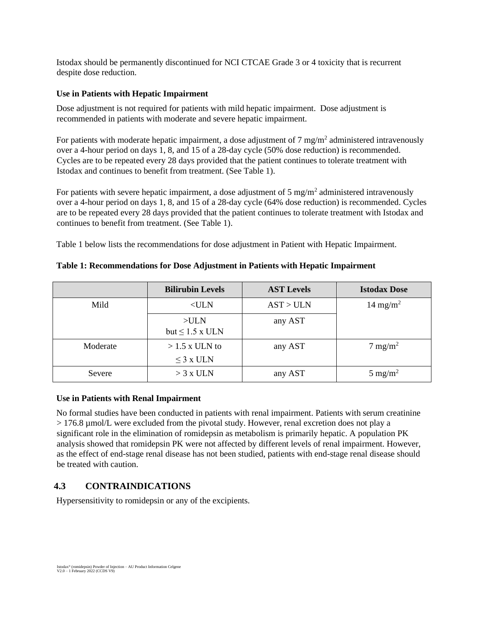Istodax should be permanently discontinued for NCI CTCAE Grade 3 or 4 toxicity that is recurrent despite dose reduction.

### **Use in Patients with Hepatic Impairment**

Dose adjustment is not required for patients with mild hepatic impairment. Dose adjustment is recommended in patients with moderate and severe hepatic impairment.

For patients with moderate hepatic impairment, a dose adjustment of  $7 \text{ mg/m}^2$  administered intravenously over a 4-hour period on days 1, 8, and 15 of a 28-day cycle (50% dose reduction) is recommended. Cycles are to be repeated every 28 days provided that the patient continues to tolerate treatment with Istodax and continues to benefit from treatment. (See Table 1).

For patients with severe hepatic impairment, a dose adjustment of 5 mg/m<sup>2</sup> administered intravenously over a 4-hour period on days 1, 8, and 15 of a 28-day cycle (64% dose reduction) is recommended. Cycles are to be repeated every 28 days provided that the patient continues to tolerate treatment with Istodax and continues to benefit from treatment. (See Table 1).

Table 1 below lists the recommendations for dose adjustment in Patient with Hepatic Impairment.

|          | <b>Bilirubin Levels</b>           | <b>AST Levels</b> | <b>Istodax Dose</b>  |
|----------|-----------------------------------|-------------------|----------------------|
| Mild     | $<$ ULN                           | AST > ULN         | 14 mg/m <sup>2</sup> |
|          | $>$ ULN<br>but $\leq 1.5$ x ULN   | any AST           |                      |
| Moderate | $>1.5$ x ULN to<br>$\leq$ 3 x ULN | any AST           | $7 \text{ mg/m}^2$   |
| Severe   | $>$ 3 x ULN                       | any AST           | $5 \text{ mg/m}^2$   |

### **Table 1: Recommendations for Dose Adjustment in Patients with Hepatic Impairment**

#### **Use in Patients with Renal Impairment**

No formal studies have been conducted in patients with renal impairment. Patients with serum creatinine > 176.8 µmol/L were excluded from the pivotal study. However, renal excretion does not play a significant role in the elimination of romidepsin as metabolism is primarily hepatic. A population PK analysis showed that romidepsin PK were not affected by different levels of renal impairment. However, as the effect of end-stage renal disease has not been studied, patients with end-stage renal disease should be treated with caution.

# **4.3 CONTRAINDICATIONS**

Hypersensitivity to romidepsin or any of the excipients.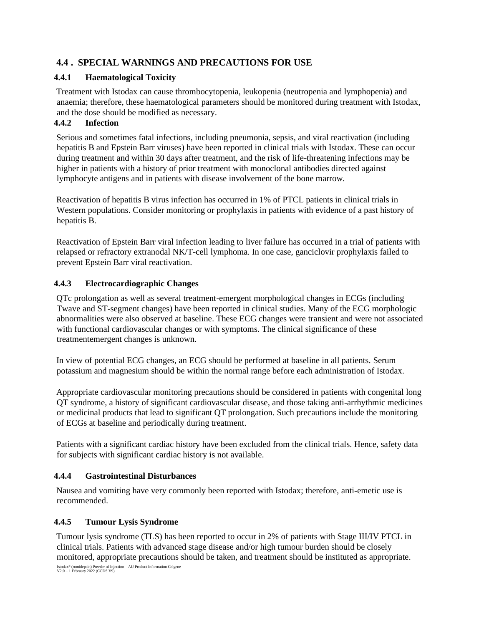# **4.4 . SPECIAL WARNINGS AND PRECAUTIONS FOR USE**

### **4.4.1 Haematological Toxicity**

Treatment with Istodax can cause thrombocytopenia, leukopenia (neutropenia and lymphopenia) and anaemia; therefore, these haematological parameters should be monitored during treatment with Istodax, and the dose should be modified as necessary.

### **4.4.2 Infection**

Serious and sometimes fatal infections, including pneumonia, sepsis, and viral reactivation (including hepatitis B and Epstein Barr viruses) have been reported in clinical trials with Istodax. These can occur during treatment and within 30 days after treatment, and the risk of life-threatening infections may be higher in patients with a history of prior treatment with monoclonal antibodies directed against lymphocyte antigens and in patients with disease involvement of the bone marrow.

Reactivation of hepatitis B virus infection has occurred in 1% of PTCL patients in clinical trials in Western populations. Consider monitoring or prophylaxis in patients with evidence of a past history of hepatitis B.

Reactivation of Epstein Barr viral infection leading to liver failure has occurred in a trial of patients with relapsed or refractory extranodal NK/T-cell lymphoma. In one case, ganciclovir prophylaxis failed to prevent Epstein Barr viral reactivation.

## **4.4.3 Electrocardiographic Changes**

QTc prolongation as well as several treatment-emergent morphological changes in ECGs (including Twave and ST-segment changes) have been reported in clinical studies. Many of the ECG morphologic abnormalities were also observed at baseline. These ECG changes were transient and were not associated with functional cardiovascular changes or with symptoms. The clinical significance of these treatmentemergent changes is unknown.

In view of potential ECG changes, an ECG should be performed at baseline in all patients. Serum potassium and magnesium should be within the normal range before each administration of Istodax.

Appropriate cardiovascular monitoring precautions should be considered in patients with congenital long QT syndrome, a history of significant cardiovascular disease, and those taking anti-arrhythmic medicines or medicinal products that lead to significant QT prolongation. Such precautions include the monitoring of ECGs at baseline and periodically during treatment.

Patients with a significant cardiac history have been excluded from the clinical trials. Hence, safety data for subjects with significant cardiac history is not available.

## **4.4.4 Gastrointestinal Disturbances**

Nausea and vomiting have very commonly been reported with Istodax; therefore, anti-emetic use is recommended.

## **4.4.5 Tumour Lysis Syndrome**

Istodax® (romidepsin) Powder of Injection – AU Product Information Celgene V2.0 – 1 February 2022 (CCDS V9) Tumour lysis syndrome (TLS) has been reported to occur in 2% of patients with Stage III/IV PTCL in clinical trials. Patients with advanced stage disease and/or high tumour burden should be closely monitored, appropriate precautions should be taken, and treatment should be instituted as appropriate.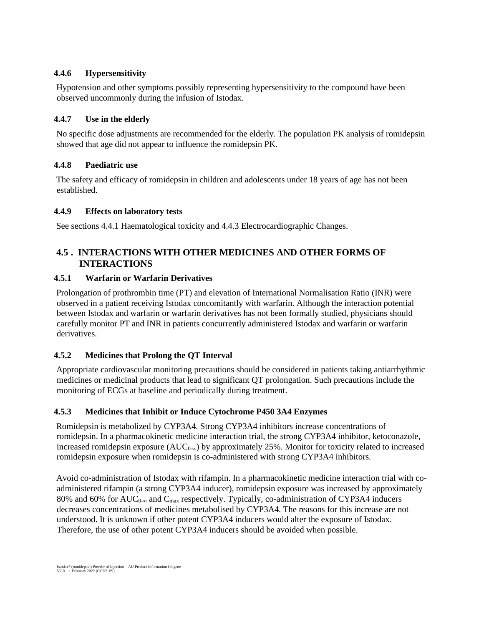## **4.4.6 Hypersensitivity**

Hypotension and other symptoms possibly representing hypersensitivity to the compound have been observed uncommonly during the infusion of Istodax.

## **4.4.7 Use in the elderly**

No specific dose adjustments are recommended for the elderly. The population PK analysis of romidepsin showed that age did not appear to influence the romidepsin PK.

# **4.4.8 Paediatric use**

The safety and efficacy of romidepsin in children and adolescents under 18 years of age has not been established.

## **4.4.9 Effects on laboratory tests**

See sections 4.4.1 Haematological toxicity and 4.4.3 Electrocardiographic Changes.

# **4.5 . INTERACTIONS WITH OTHER MEDICINES AND OTHER FORMS OF INTERACTIONS**

# **4.5.1 Warfarin or Warfarin Derivatives**

Prolongation of prothrombin time (PT) and elevation of International Normalisation Ratio (INR) were observed in a patient receiving Istodax concomitantly with warfarin. Although the interaction potential between Istodax and warfarin or warfarin derivatives has not been formally studied, physicians should carefully monitor PT and INR in patients concurrently administered Istodax and warfarin or warfarin derivatives.

# **4.5.2 Medicines that Prolong the QT Interval**

Appropriate cardiovascular monitoring precautions should be considered in patients taking antiarrhythmic medicines or medicinal products that lead to significant QT prolongation. Such precautions include the monitoring of ECGs at baseline and periodically during treatment.

# **4.5.3 Medicines that Inhibit or Induce Cytochrome P450 3A4 Enzymes**

Romidepsin is metabolized by CYP3A4. Strong CYP3A4 inhibitors increase concentrations of romidepsin. In a pharmacokinetic medicine interaction trial, the strong CYP3A4 inhibitor, ketoconazole, increased romidepsin exposure  $(AUC_{0-\infty})$  by approximately 25%. Monitor for toxicity related to increased romidepsin exposure when romidepsin is co-administered with strong CYP3A4 inhibitors.

Avoid co-administration of Istodax with rifampin. In a pharmacokinetic medicine interaction trial with coadministered rifampin (a strong CYP3A4 inducer), romidepsin exposure was increased by approximately 80% and 60% for AUC<sub>0∞</sub> and C<sub>max</sub> respectively. Typically, co-administration of CYP3A4 inducers decreases concentrations of medicines metabolised by CYP3A4. The reasons for this increase are not understood. It is unknown if other potent CYP3A4 inducers would alter the exposure of Istodax. Therefore, the use of other potent CYP3A4 inducers should be avoided when possible.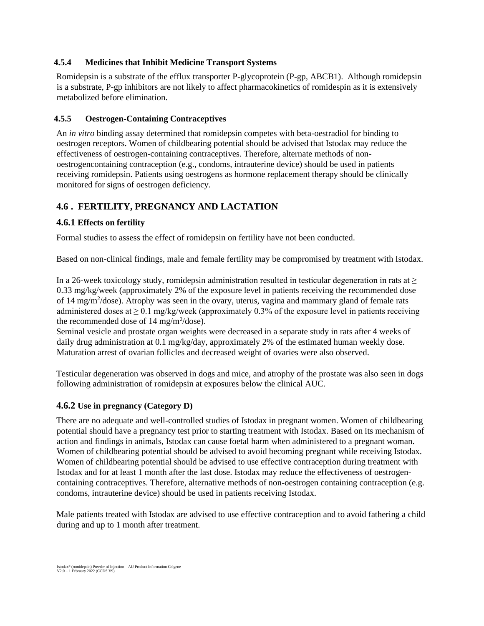### **4.5.4 Medicines that Inhibit Medicine Transport Systems**

Romidepsin is a substrate of the efflux transporter P-glycoprotein (P-gp, ABCB1). Although romidepsin is a substrate, P-gp inhibitors are not likely to affect pharmacokinetics of romidespin as it is extensively metabolized before elimination.

### **4.5.5 Oestrogen-Containing Contraceptives**

An *in vitro* binding assay determined that romidepsin competes with beta-oestradiol for binding to oestrogen receptors. Women of childbearing potential should be advised that Istodax may reduce the effectiveness of oestrogen-containing contraceptives. Therefore, alternate methods of nonoestrogencontaining contraception (e.g., condoms, intrauterine device) should be used in patients receiving romidepsin. Patients using oestrogens as hormone replacement therapy should be clinically monitored for signs of oestrogen deficiency.

# **4.6 . FERTILITY, PREGNANCY AND LACTATION**

### **4.6.1 Effects on fertility**

Formal studies to assess the effect of romidepsin on fertility have not been conducted.

Based on non-clinical findings, male and female fertility may be compromised by treatment with Istodax.

In a 26-week toxicology study, romidepsin administration resulted in testicular degeneration in rats at  $\geq$ 0.33 mg/kg/week (approximately 2% of the exposure level in patients receiving the recommended dose of 14 mg/m<sup>2</sup>/dose). Atrophy was seen in the ovary, uterus, vagina and mammary gland of female rats administered doses at  $\geq 0.1$  mg/kg/week (approximately 0.3% of the exposure level in patients receiving the recommended dose of  $14 \text{ mg/m}^2/\text{dose}$ ).

Seminal vesicle and prostate organ weights were decreased in a separate study in rats after 4 weeks of daily drug administration at 0.1 mg/kg/day, approximately 2% of the estimated human weekly dose. Maturation arrest of ovarian follicles and decreased weight of ovaries were also observed.

Testicular degeneration was observed in dogs and mice, and atrophy of the prostate was also seen in dogs following administration of romidepsin at exposures below the clinical AUC.

## **4.6.2 Use in pregnancy (Category D)**

There are no adequate and well-controlled studies of Istodax in pregnant women. Women of childbearing potential should have a pregnancy test prior to starting treatment with Istodax. Based on its mechanism of action and findings in animals, Istodax can cause foetal harm when administered to a pregnant woman. Women of childbearing potential should be advised to avoid becoming pregnant while receiving Istodax. Women of childbearing potential should be advised to use effective contraception during treatment with Istodax and for at least 1 month after the last dose. Istodax may reduce the effectiveness of oestrogencontaining contraceptives. Therefore, alternative methods of non-oestrogen containing contraception (e.g. condoms, intrauterine device) should be used in patients receiving Istodax.

Male patients treated with Istodax are advised to use effective contraception and to avoid fathering a child during and up to 1 month after treatment.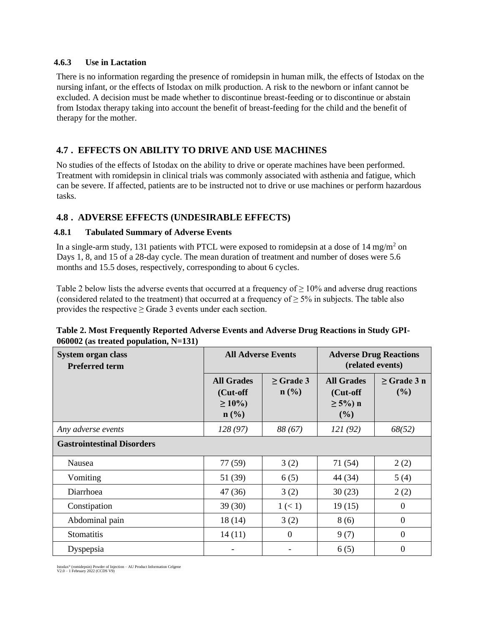#### **4.6.3 Use in Lactation**

There is no information regarding the presence of romidepsin in human milk, the effects of Istodax on the nursing infant, or the effects of Istodax on milk production. A risk to the newborn or infant cannot be excluded. A decision must be made whether to discontinue breast-feeding or to discontinue or abstain from Istodax therapy taking into account the benefit of breast-feeding for the child and the benefit of therapy for the mother.

# **4.7 . EFFECTS ON ABILITY TO DRIVE AND USE MACHINES**

No studies of the effects of Istodax on the ability to drive or operate machines have been performed. Treatment with romidepsin in clinical trials was commonly associated with asthenia and fatigue, which can be severe. If affected, patients are to be instructed not to drive or use machines or perform hazardous tasks.

# **4.8 . ADVERSE EFFECTS (UNDESIRABLE EFFECTS)**

## **4.8.1 Tabulated Summary of Adverse Events**

In a single-arm study, 131 patients with PTCL were exposed to romidepsin at a dose of  $14 \text{ mg/m}^2$  on Days 1, 8, and 15 of a 28-day cycle. The mean duration of treatment and number of doses were 5.6 months and 15.5 doses, respectively, corresponding to about 6 cycles.

Table 2 below lists the adverse events that occurred at a frequency of  $\geq 10\%$  and adverse drug reactions (considered related to the treatment) that occurred at a frequency of  $\geq$  5% in subjects. The table also provides the respective  $\geq$  Grade 3 events under each section.

# **Table 2. Most Frequently Reported Adverse Events and Adverse Drug Reactions in Study GPI-060002 (as treated population, N=131)**

| <b>System organ class</b><br><b>Preferred term</b> | <b>All Adverse Events</b>                                        |                                    | <b>Adverse Drug Reactions</b><br>(related events)      |                         |
|----------------------------------------------------|------------------------------------------------------------------|------------------------------------|--------------------------------------------------------|-------------------------|
|                                                    | <b>All Grades</b><br>(Cut-off<br>$\geq 10\%$<br>$\mathbf{n}(\%)$ | $\geq$ Grade 3<br>$\mathbf{n}(\%)$ | <b>All Grades</b><br>(Cut-off<br>$\geq 5\%$ ) n<br>(%) | $\geq$ Grade 3 n<br>(%) |
| Any adverse events                                 | 128(97)                                                          | 88 (67)                            | 121(92)                                                | 68(52)                  |
| <b>Gastrointestinal Disorders</b>                  |                                                                  |                                    |                                                        |                         |
| Nausea                                             | 77 (59)                                                          | 3(2)                               | 71 (54)                                                | 2(2)                    |
| Vomiting                                           | 51 (39)                                                          | 6(5)                               | 44 (34)                                                | 5(4)                    |
| Diarrhoea                                          | 47 (36)                                                          | 3(2)                               | 30(23)                                                 | 2(2)                    |
| Constipation                                       | 39(30)                                                           | 1 (< 1)                            | 19(15)                                                 | $\theta$                |
| Abdominal pain                                     | 18(14)                                                           | 3(2)                               | 8(6)                                                   | $\Omega$                |
| <b>Stomatitis</b>                                  | 14(11)                                                           | $\mathbf{0}$                       | 9(7)                                                   | $\overline{0}$          |
| Dyspepsia                                          |                                                                  |                                    | 6(5)                                                   | 0                       |

Istodax® (romidepsin) Powder of Injection – AU Product Information Celgene V2.0 – 1 February 2022 (CCDS V9)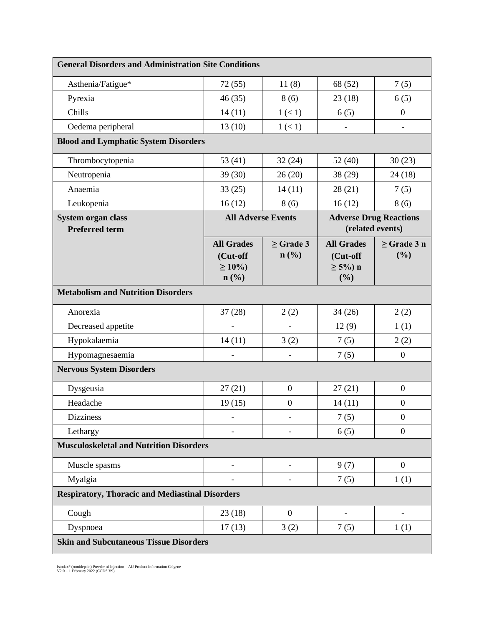| <b>General Disorders and Administration Site Conditions</b>              |                                                         |                                               |                                                        |                          |
|--------------------------------------------------------------------------|---------------------------------------------------------|-----------------------------------------------|--------------------------------------------------------|--------------------------|
| Asthenia/Fatigue*                                                        | 72(55)                                                  | 11(8)                                         | 68 (52)                                                | 7(5)                     |
| Pyrexia                                                                  | 46(35)                                                  | 8(6)                                          | 23(18)                                                 | 6(5)                     |
| Chills                                                                   | 14(11)                                                  | 1 (< 1)                                       | 6(5)                                                   | $\overline{0}$           |
| Oedema peripheral                                                        | 13(10)                                                  | 1 (< 1)                                       |                                                        | $\overline{\phantom{0}}$ |
| <b>Blood and Lymphatic System Disorders</b>                              |                                                         |                                               |                                                        |                          |
| Thrombocytopenia                                                         | 53 $(41)$                                               | 32(24)                                        | 52(40)                                                 | 30(23)                   |
| Neutropenia                                                              | 39(30)                                                  | 26(20)                                        | 38(29)                                                 | 24(18)                   |
| Anaemia                                                                  | 33(25)                                                  | 14(11)                                        | 28(21)                                                 | 7(5)                     |
| Leukopenia                                                               | 16(12)                                                  | 8(6)                                          | 16(12)                                                 | 8(6)                     |
| System organ class<br><b>All Adverse Events</b><br><b>Preferred term</b> |                                                         |                                               | <b>Adverse Drug Reactions</b><br>(related events)      |                          |
|                                                                          | <b>All Grades</b><br>(Cut-off<br>$\geq 10\%$<br>$n$ (%) | $\geq$ Grade 3<br>$n\left(\frac{0}{0}\right)$ | <b>All Grades</b><br>(Cut-off<br>$\geq 5\%$ ) n<br>(%) | $\geq$ Grade 3 n<br>(%)  |
| <b>Metabolism and Nutrition Disorders</b>                                |                                                         |                                               |                                                        |                          |
| Anorexia                                                                 | 37(28)                                                  | 2(2)                                          | 34(26)                                                 | 2(2)                     |
| Decreased appetite                                                       |                                                         |                                               | 12(9)                                                  | 1(1)                     |
| Hypokalaemia                                                             | 14(11)                                                  | 3(2)                                          | 7(5)                                                   | 2(2)                     |
| Hypomagnesaemia                                                          |                                                         |                                               | 7(5)                                                   | $\boldsymbol{0}$         |
| <b>Nervous System Disorders</b>                                          |                                                         |                                               |                                                        |                          |
| Dysgeusia                                                                | 27(21)                                                  | $\boldsymbol{0}$                              | 27(21)                                                 | $\boldsymbol{0}$         |
| Headache                                                                 | 19(15)                                                  | $\boldsymbol{0}$                              | 14(11)                                                 | $\boldsymbol{0}$         |
| <b>Dizziness</b>                                                         |                                                         |                                               | 7(5)                                                   | $\boldsymbol{0}$         |
| Lethargy                                                                 |                                                         |                                               | 6(5)                                                   | $\overline{0}$           |
| <b>Musculoskeletal and Nutrition Disorders</b>                           |                                                         |                                               |                                                        |                          |
| Muscle spasms                                                            | $\overline{a}$                                          |                                               | 9(7)                                                   | $\overline{0}$           |
| Myalgia                                                                  |                                                         |                                               | 7(5)                                                   | 1(1)                     |
| <b>Respiratory, Thoracic and Mediastinal Disorders</b>                   |                                                         |                                               |                                                        |                          |
| Cough                                                                    | 23(18)                                                  | $\boldsymbol{0}$                              |                                                        | $\overline{a}$           |
| Dyspnoea                                                                 | 17(13)                                                  | 3(2)                                          | 7(5)                                                   | 1(1)                     |
| <b>Skin and Subcutaneous Tissue Disorders</b>                            |                                                         |                                               |                                                        |                          |

Istodax® (romidepsin) Powder of Injection – AU Product Information Celgene V2.0 – 1 February 2022 (CCDS V9)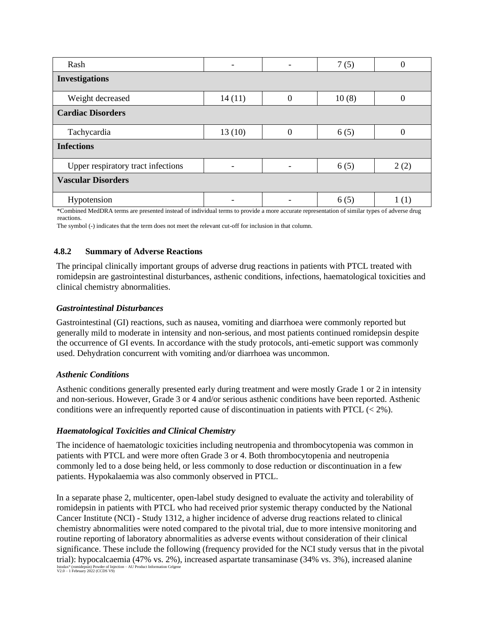| Rash                                                                                                                                         |        |   | 7(5)  | 0    |
|----------------------------------------------------------------------------------------------------------------------------------------------|--------|---|-------|------|
| <b>Investigations</b>                                                                                                                        |        |   |       |      |
| Weight decreased                                                                                                                             | 14(11) | 0 | 10(8) | 0    |
| <b>Cardiac Disorders</b>                                                                                                                     |        |   |       |      |
| Tachycardia                                                                                                                                  | 13(10) |   | 6(5)  |      |
| <b>Infections</b>                                                                                                                            |        |   |       |      |
| Upper respiratory tract infections                                                                                                           |        |   | 6(5)  | 2(2) |
| <b>Vascular Disorders</b>                                                                                                                    |        |   |       |      |
| Hypotension                                                                                                                                  |        |   | 6(5)  | 1(1) |
| *Compined MedDDA terms are researced instead of individual terms to marriede a more acquired remeasantation of cimilar types of advance drug |        |   |       |      |

\*Combined MedDRA terms are presented instead of individual terms to provide a more accurate representation of similar types of adverse drug reactions.

The symbol (-) indicates that the term does not meet the relevant cut-off for inclusion in that column.

#### **4.8.2 Summary of Adverse Reactions**

The principal clinically important groups of adverse drug reactions in patients with PTCL treated with romidepsin are gastrointestinal disturbances, asthenic conditions, infections, haematological toxicities and clinical chemistry abnormalities.

#### *Gastrointestinal Disturbances*

Gastrointestinal (GI) reactions, such as nausea, vomiting and diarrhoea were commonly reported but generally mild to moderate in intensity and non-serious, and most patients continued romidepsin despite the occurrence of GI events. In accordance with the study protocols, anti-emetic support was commonly used. Dehydration concurrent with vomiting and/or diarrhoea was uncommon.

#### *Asthenic Conditions*

Asthenic conditions generally presented early during treatment and were mostly Grade 1 or 2 in intensity and non-serious. However, Grade 3 or 4 and/or serious asthenic conditions have been reported. Asthenic conditions were an infrequently reported cause of discontinuation in patients with PTCL  $(< 2\%)$ .

#### *Haematological Toxicities and Clinical Chemistry*

The incidence of haematologic toxicities including neutropenia and thrombocytopenia was common in patients with PTCL and were more often Grade 3 or 4. Both thrombocytopenia and neutropenia commonly led to a dose being held, or less commonly to dose reduction or discontinuation in a few patients. Hypokalaemia was also commonly observed in PTCL.

Istodax® (romidepsin) Powder of Injection – AU Product Information Celgene V2.0 – 1 February 2022 (CCDS V9) In a separate phase 2, multicenter, open-label study designed to evaluate the activity and tolerability of romidepsin in patients with PTCL who had received prior systemic therapy conducted by the National Cancer Institute (NCI) - Study 1312, a higher incidence of adverse drug reactions related to clinical chemistry abnormalities were noted compared to the pivotal trial, due to more intensive monitoring and routine reporting of laboratory abnormalities as adverse events without consideration of their clinical significance. These include the following (frequency provided for the NCI study versus that in the pivotal trial): hypocalcaemia (47% vs. 2%), increased aspartate transaminase (34% vs. 3%), increased alanine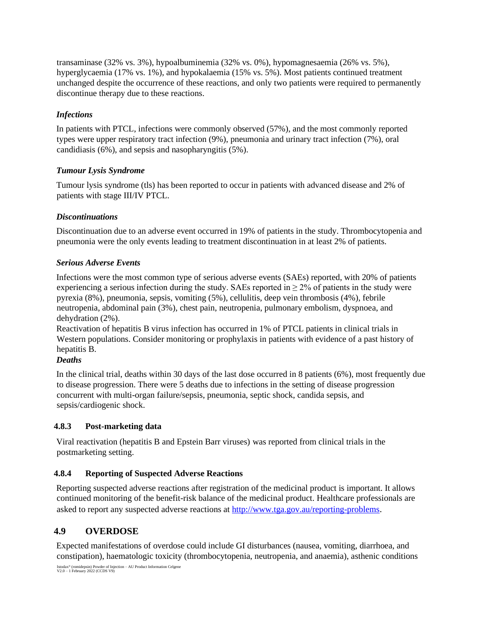transaminase (32% vs. 3%), hypoalbuminemia (32% vs. 0%), hypomagnesaemia (26% vs. 5%), hyperglycaemia (17% vs. 1%), and hypokalaemia (15% vs. 5%). Most patients continued treatment unchanged despite the occurrence of these reactions, and only two patients were required to permanently discontinue therapy due to these reactions.

# *Infections*

In patients with PTCL, infections were commonly observed (57%), and the most commonly reported types were upper respiratory tract infection (9%), pneumonia and urinary tract infection (7%), oral candidiasis (6%), and sepsis and nasopharyngitis (5%).

## *Tumour Lysis Syndrome*

Tumour lysis syndrome (tls) has been reported to occur in patients with advanced disease and 2% of patients with stage III/IV PTCL.

# *Discontinuations*

Discontinuation due to an adverse event occurred in 19% of patients in the study. Thrombocytopenia and pneumonia were the only events leading to treatment discontinuation in at least 2% of patients.

## *Serious Adverse Events*

Infections were the most common type of serious adverse events (SAEs) reported, with 20% of patients experiencing a serious infection during the study. SAEs reported in  $\geq 2\%$  of patients in the study were pyrexia (8%), pneumonia, sepsis, vomiting (5%), cellulitis, deep vein thrombosis (4%), febrile neutropenia, abdominal pain (3%), chest pain, neutropenia, pulmonary embolism, dyspnoea, and dehydration (2%).

Reactivation of hepatitis B virus infection has occurred in 1% of PTCL patients in clinical trials in Western populations. Consider monitoring or prophylaxis in patients with evidence of a past history of hepatitis B.

# *Deaths*

In the clinical trial, deaths within 30 days of the last dose occurred in 8 patients (6%), most frequently due to disease progression. There were 5 deaths due to infections in the setting of disease progression concurrent with multi-organ failure/sepsis, pneumonia, septic shock, candida sepsis, and sepsis/cardiogenic shock.

# **4.8.3 Post-marketing data**

Viral reactivation (hepatitis B and Epstein Barr viruses) was reported from clinical trials in the postmarketing setting.

## **4.8.4 Reporting of Suspected Adverse Reactions**

Reporting suspected adverse reactions after registration of the medicinal product is important. It allows continued monitoring of the benefit-risk balance of the medicinal product. Healthcare professionals are asked to report any suspected adverse reactions at<http://www.tga.gov.au/reporting-problems>[.](http://www.tga.gov.au/reporting-problems)

# **4.9 OVERDOSE**

Expected manifestations of overdose could include GI disturbances (nausea, vomiting, diarrhoea, and constipation), haematologic toxicity (thrombocytopenia, neutropenia, and anaemia), asthenic conditions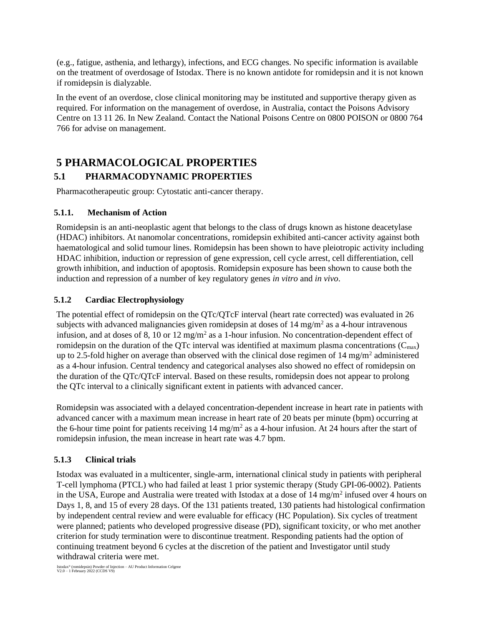(e.g., fatigue, asthenia, and lethargy), infections, and ECG changes. No specific information is available on the treatment of overdosage of Istodax. There is no known antidote for romidepsin and it is not known if romidepsin is dialyzable.

In the event of an overdose, close clinical monitoring may be instituted and supportive therapy given as required. For information on the management of overdose, in Australia, contact the Poisons Advisory Centre on 13 11 26. In New Zealand. Contact the National Poisons Centre on 0800 POISON or 0800 764 766 for advise on management.

# **5 PHARMACOLOGICAL PROPERTIES 5.1 PHARMACODYNAMIC PROPERTIES**

Pharmacotherapeutic group: Cytostatic anti-cancer therapy.

## **5.1.1. Mechanism of Action**

Romidepsin is an anti-neoplastic agent that belongs to the class of drugs known as histone deacetylase (HDAC) inhibitors. At nanomolar concentrations, romidepsin exhibited anti-cancer activity against both haematological and solid tumour lines. Romidepsin has been shown to have pleiotropic activity including HDAC inhibition, induction or repression of gene expression, cell cycle arrest, cell differentiation, cell growth inhibition, and induction of apoptosis. Romidepsin exposure has been shown to cause both the induction and repression of a number of key regulatory genes *in vitro* and *in vivo*.

# **5.1.2 Cardiac Electrophysiology**

The potential effect of romidepsin on the QTc/QTcF interval (heart rate corrected) was evaluated in 26 subjects with advanced malignancies given romidepsin at doses of  $14 \text{ mg/m}^2$  as a 4-hour intravenous infusion, and at doses of 8, 10 or 12 mg/m<sup>2</sup> as a 1-hour infusion. No concentration-dependent effect of romidepsin on the duration of the QTc interval was identified at maximum plasma concentrations  $(C_{\text{max}})$ up to 2.5-fold higher on average than observed with the clinical dose regimen of  $14 \text{ mg/m}^2$  administered as a 4-hour infusion. Central tendency and categorical analyses also showed no effect of romidepsin on the duration of the QTc/QTcF interval. Based on these results, romidepsin does not appear to prolong the QTc interval to a clinically significant extent in patients with advanced cancer.

Romidepsin was associated with a delayed concentration-dependent increase in heart rate in patients with advanced cancer with a maximum mean increase in heart rate of 20 beats per minute (bpm) occurring at the 6-hour time point for patients receiving  $14 \text{ mg/m}^2$  as a 4-hour infusion. At 24 hours after the start of romidepsin infusion, the mean increase in heart rate was 4.7 bpm.

## **5.1.3 Clinical trials**

Istodax was evaluated in a multicenter, single-arm, international clinical study in patients with peripheral T-cell lymphoma (PTCL) who had failed at least 1 prior systemic therapy (Study GPI-06-0002). Patients in the USA, Europe and Australia were treated with Istodax at a dose of  $14 \text{ mg/m}^2$  infused over 4 hours on Days 1, 8, and 15 of every 28 days. Of the 131 patients treated, 130 patients had histological confirmation by independent central review and were evaluable for efficacy (HC Population). Six cycles of treatment were planned; patients who developed progressive disease (PD), significant toxicity, or who met another criterion for study termination were to discontinue treatment. Responding patients had the option of continuing treatment beyond 6 cycles at the discretion of the patient and Investigator until study withdrawal criteria were met.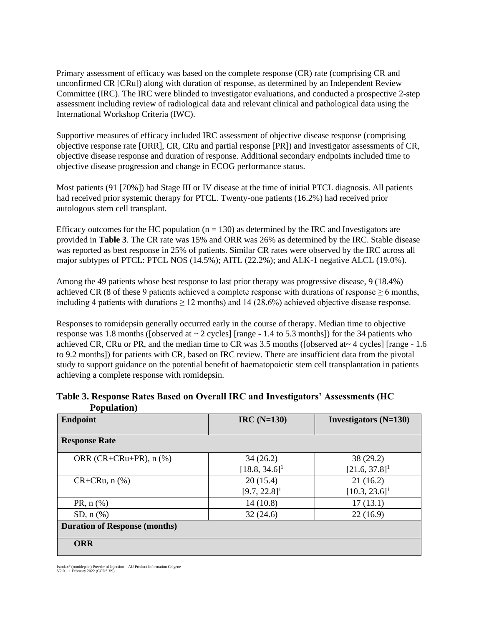Primary assessment of efficacy was based on the complete response (CR) rate (comprising CR and unconfirmed CR [CRu]) along with duration of response, as determined by an Independent Review Committee (IRC). The IRC were blinded to investigator evaluations, and conducted a prospective 2-step assessment including review of radiological data and relevant clinical and pathological data using the International Workshop Criteria (IWC).

Supportive measures of efficacy included IRC assessment of objective disease response (comprising objective response rate [ORR], CR, CRu and partial response [PR]) and Investigator assessments of CR, objective disease response and duration of response. Additional secondary endpoints included time to objective disease progression and change in ECOG performance status.

Most patients (91 [70%]) had Stage III or IV disease at the time of initial PTCL diagnosis. All patients had received prior systemic therapy for PTCL. Twenty-one patients (16.2%) had received prior autologous stem cell transplant.

Efficacy outcomes for the HC population  $(n = 130)$  as determined by the IRC and Investigators are provided in **Table 3**. The CR rate was 15% and ORR was 26% as determined by the IRC. Stable disease was reported as best response in 25% of patients. Similar CR rates were observed by the IRC across all major subtypes of PTCL: PTCL NOS (14.5%); AITL (22.2%); and ALK-1 negative ALCL (19.0%).

Among the 49 patients whose best response to last prior therapy was progressive disease, 9 (18.4%) achieved CR (8 of these 9 patients achieved a complete response with durations of response  $\geq 6$  months, including 4 patients with durations  $\geq 12$  months) and 14 (28.6%) achieved objective disease response.

Responses to romidepsin generally occurred early in the course of therapy. Median time to objective response was 1.8 months ([observed at  $\sim$  2 cycles] [range - 1.4 to 5.3 months]) for the 34 patients who achieved CR, CRu or PR, and the median time to CR was 3.5 months ([observed at~ 4 cycles] [range - 1.6 to 9.2 months]) for patients with CR, based on IRC review. There are insufficient data from the pivotal study to support guidance on the potential benefit of haematopoietic stem cell transplantation in patients achieving a complete response with romidepsin.

| <b>Endpoint</b>                      | $IRC(N=130)$                | <b>Investigators</b> $(N=130)$ |
|--------------------------------------|-----------------------------|--------------------------------|
| <b>Response Rate</b>                 |                             |                                |
| ORR (CR+CRu+PR), $n$ (%)             | 34(26.2)                    | 38(29.2)                       |
|                                      | $[18.8, 34.6]$ <sup>1</sup> | $[21.6, 37.8]$ <sup>1</sup>    |
| $CR+CRu, n$ (%)                      | 20(15.4)                    | 21(16.2)                       |
|                                      | $[9.7, 22.8]$ <sup>1</sup>  | $[10.3, 23.6]$ <sup>1</sup>    |
| $PR, n (\%)$                         | 14(10.8)                    | 17(13.1)                       |
| $SD, n$ (%)                          | 32(24.6)                    | 22(16.9)                       |
| <b>Duration of Response (months)</b> |                             |                                |
| <b>ORR</b>                           |                             |                                |

### **Table 3. Response Rates Based on Overall IRC and Investigators' Assessments (HC Population)**

Istodax® (romidepsin) Powder of Injection – AU Product Information Celgene V2.0 – 1 February 2022 (CCDS V9)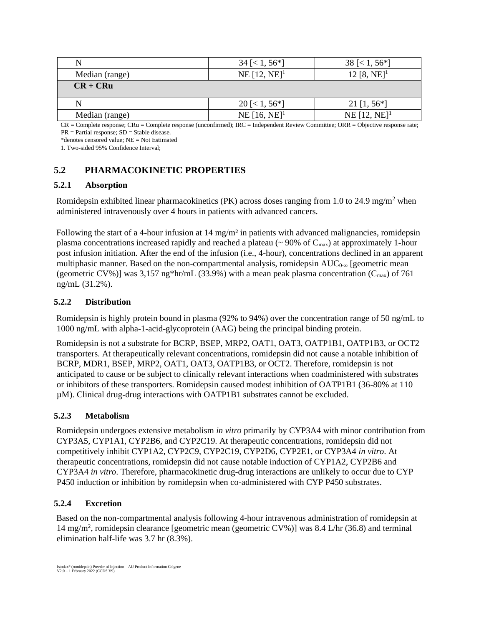| N              | $34 \approx 1, 56 \approx$ | $38 \le 1, 56^*$           |
|----------------|----------------------------|----------------------------|
| Median (range) | $NE [12, NE]^1$            | 12 [8, NE] <sup>1</sup>    |
| $CR + CRu$     |                            |                            |
| N              | $20 \leq 1, 56 \leq 1$     | 21 [1, $56*$ ]             |
| Median (range) | $NE [16, NE]^1$            | NE $[12, NE]$ <sup>1</sup> |

CR = Complete response; CRu = Complete response (unconfirmed); IRC = Independent Review Committee; ORR = Objective response rate;  $PR = Partial$  response;  $SD = Stable$  disease.

\*denotes censored value; NE = Not Estimated

1. Two-sided 95% Confidence Interval;

# **5.2 PHARMACOKINETIC PROPERTIES**

### **5.2.1 Absorption**

Romidepsin exhibited linear pharmacokinetics (PK) across doses ranging from 1.0 to 24.9 mg/m<sup>2</sup> when administered intravenously over 4 hours in patients with advanced cancers.

Following the start of a 4-hour infusion at  $14 \text{ mg/m}^2$  in patients with advanced malignancies, romidepsin plasma concentrations increased rapidly and reached a plateau ( $\sim$  90% of C<sub>max</sub>) at approximately 1-hour post infusion initiation. After the end of the infusion (i.e., 4-hour), concentrations declined in an apparent multiphasic manner. Based on the non-compartmental analysis, romidepsin  $AUC_{0-\infty}$  [geometric mean (geometric CV%)] was 3,157 ng\*hr/mL (33.9%) with a mean peak plasma concentration ( $C_{\text{max}}$ ) of 761 ng/mL (31.2%).

### **5.2.2 Distribution**

Romidepsin is highly protein bound in plasma (92% to 94%) over the concentration range of 50 ng/mL to 1000 ng/mL with alpha-1-acid-glycoprotein (AAG) being the principal binding protein.

Romidepsin is not a substrate for BCRP, BSEP, MRP2, OAT1, OAT3, OATP1B1, OATP1B3, or OCT2 transporters. At therapeutically relevant concentrations, romidepsin did not cause a notable inhibition of BCRP, MDR1, BSEP, MRP2, OAT1, OAT3, OATP1B3, or OCT2. Therefore, romidepsin is not anticipated to cause or be subject to clinically relevant interactions when coadministered with substrates or inhibitors of these transporters. Romidepsin caused modest inhibition of OATP1B1 (36-80% at 110 µM). Clinical drug-drug interactions with OATP1B1 substrates cannot be excluded.

#### **5.2.3 Metabolism**

Romidepsin undergoes extensive metabolism *in vitro* primarily by CYP3A4 with minor contribution from CYP3A5, CYP1A1, CYP2B6, and CYP2C19. At therapeutic concentrations, romidepsin did not competitively inhibit CYP1A2, CYP2C9, CYP2C19, CYP2D6, CYP2E1, or CYP3A4 *in vitro*. At therapeutic concentrations, romidepsin did not cause notable induction of CYP1A2, CYP2B6 and CYP3A4 *in vitro*. Therefore, pharmacokinetic drug-drug interactions are unlikely to occur due to CYP P450 induction or inhibition by romidepsin when co-administered with CYP P450 substrates.

#### **5.2.4 Excretion**

Based on the non-compartmental analysis following 4-hour intravenous administration of romidepsin at 14 mg/m<sup>2</sup> , romidepsin clearance [geometric mean (geometric CV%)] was 8.4 L/hr (36.8) and terminal elimination half-life was 3.7 hr (8.3%).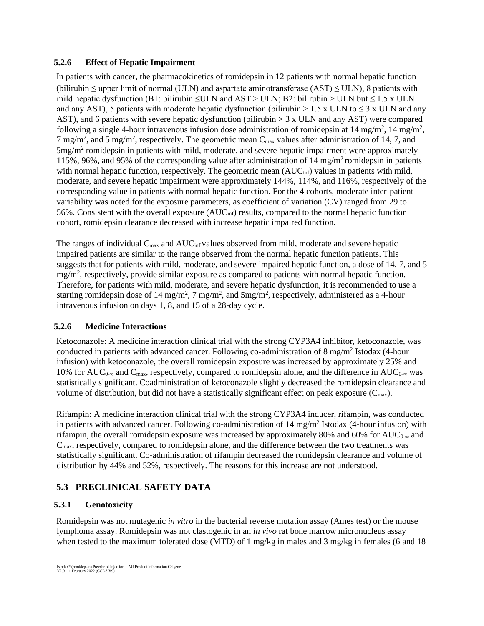#### **5.2.6 Effect of Hepatic Impairment**

In patients with cancer, the pharmacokinetics of romidepsin in 12 patients with normal hepatic function (bilirubin  $\leq$  upper limit of normal (ULN) and aspartate aminotransferase (AST)  $\leq$  ULN), 8 patients with mild hepatic dysfunction (B1: bilirubin  $\leq ULN$  and AST > ULN; B2: bilirubin > ULN but  $\leq 1.5$  x ULN and any AST), 5 patients with moderate hepatic dysfunction (bilirubin > 1.5 x ULN to  $\leq$  3 x ULN and any AST), and 6 patients with severe hepatic dysfunction (bilirubin  $> 3 \times$  ULN and any AST) were compared following a single 4-hour intravenous infusion dose administration of romidepsin at  $14 \text{ mg/m}^2$ ,  $14 \text{ mg/m}^2$ , 7 mg/m<sup>2</sup>, and 5 mg/m<sup>2</sup>, respectively. The geometric mean  $C_{\text{max}}$  values after administration of 14, 7, and  $5 \text{mg/m}^2$  romidepsin in patients with mild, moderate, and severe hepatic impairment were approximately 115%, 96%, and 95% of the corresponding value after administration of 14 mg/m<sup>2</sup> romidepsin in patients with normal hepatic function, respectively. The geometric mean  $(AUC_{\text{inf}})$  values in patients with mild, moderate, and severe hepatic impairment were approximately 144%, 114%, and 116%, respectively of the corresponding value in patients with normal hepatic function. For the 4 cohorts, moderate inter-patient variability was noted for the exposure parameters, as coefficient of variation (CV) ranged from 29 to 56%. Consistent with the overall exposure  $(AUC_{\text{inf}})$  results, compared to the normal hepatic function cohort, romidepsin clearance decreased with increase hepatic impaired function.

The ranges of individual  $C_{\text{max}}$  and  $AUC_{\text{inf}}$  values observed from mild, moderate and severe hepatic impaired patients are similar to the range observed from the normal hepatic function patients. This suggests that for patients with mild, moderate, and severe impaired hepatic function, a dose of 14, 7, and 5 mg/m<sup>2</sup>, respectively, provide similar exposure as compared to patients with normal hepatic function. Therefore, for patients with mild, moderate, and severe hepatic dysfunction, it is recommended to use a starting romidepsin dose of 14 mg/m<sup>2</sup>, 7 mg/m<sup>2</sup>, and 5mg/m<sup>2</sup>, respectively, administered as a 4-hour intravenous infusion on days 1, 8, and 15 of a 28-day cycle.

#### **5.2.6 Medicine Interactions**

Ketoconazole: A medicine interaction clinical trial with the strong CYP3A4 inhibitor, ketoconazole, was conducted in patients with advanced cancer. Following co-administration of  $8 \text{ mg/m}^2$  Istodax (4-hour infusion) with ketoconazole, the overall romidepsin exposure was increased by approximately 25% and 10% for AUC<sub>0-∞</sub> and C<sub>max</sub>, respectively, compared to romidepsin alone, and the difference in AUC<sub>0-∞</sub> was statistically significant. Coadministration of ketoconazole slightly decreased the romidepsin clearance and volume of distribution, but did not have a statistically significant effect on peak exposure  $(C_{\text{max}})$ .

Rifampin: A medicine interaction clinical trial with the strong CYP3A4 inducer, rifampin, was conducted in patients with advanced cancer. Following co-administration of 14 mg/m<sup>2</sup> Istodax (4-hour infusion) with rifampin, the overall romidepsin exposure was increased by approximately 80% and 60% for  $AUC_{0-\infty}$  and Cmax, respectively, compared to romidepsin alone, and the difference between the two treatments was statistically significant. Co-administration of rifampin decreased the romidepsin clearance and volume of distribution by 44% and 52%, respectively. The reasons for this increase are not understood.

## **5.3 PRECLINICAL SAFETY DATA**

#### **5.3.1 Genotoxicity**

Romidepsin was not mutagenic *in vitro* in the bacterial reverse mutation assay (Ames test) or the mouse lymphoma assay. Romidepsin was not clastogenic in an *in vivo* rat bone marrow micronucleus assay when tested to the maximum tolerated dose (MTD) of 1 mg/kg in males and 3 mg/kg in females (6 and 18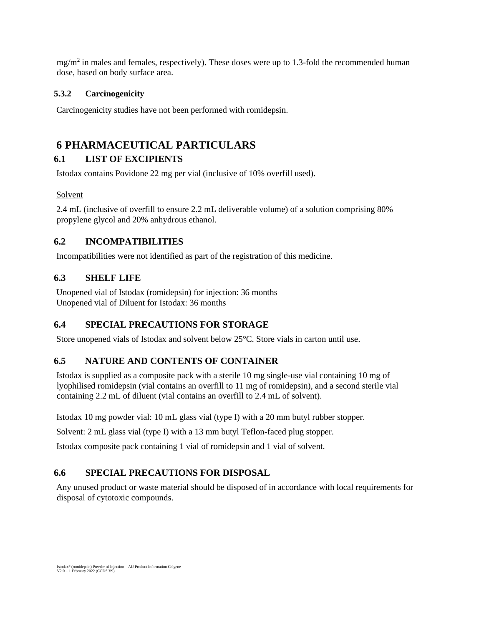$mg/m<sup>2</sup>$  in males and females, respectively). These doses were up to 1.3-fold the recommended human dose, based on body surface area.

## **5.3.2 Carcinogenicity**

Carcinogenicity studies have not been performed with romidepsin.

# **6 PHARMACEUTICAL PARTICULARS**

# **6.1 LIST OF EXCIPIENTS**

Istodax contains Povidone 22 mg per vial (inclusive of 10% overfill used).

## Solvent

2.4 mL (inclusive of overfill to ensure 2.2 mL deliverable volume) of a solution comprising 80% propylene glycol and 20% anhydrous ethanol.

# **6.2 INCOMPATIBILITIES**

Incompatibilities were not identified as part of the registration of this medicine.

# **6.3 SHELF LIFE**

Unopened vial of Istodax (romidepsin) for injection: 36 months Unopened vial of Diluent for Istodax: 36 months

# **6.4 SPECIAL PRECAUTIONS FOR STORAGE**

Store unopened vials of Istodax and solvent below 25°C. Store vials in carton until use.

# **6.5 NATURE AND CONTENTS OF CONTAINER**

Istodax is supplied as a composite pack with a sterile 10 mg single-use vial containing 10 mg of lyophilised romidepsin (vial contains an overfill to 11 mg of romidepsin), and a second sterile vial containing 2.2 mL of diluent (vial contains an overfill to 2.4 mL of solvent).

Istodax 10 mg powder vial: 10 mL glass vial (type I) with a 20 mm butyl rubber stopper.

Solvent: 2 mL glass vial (type I) with a 13 mm butyl Teflon-faced plug stopper.

Istodax composite pack containing 1 vial of romidepsin and 1 vial of solvent.

# **6.6 SPECIAL PRECAUTIONS FOR DISPOSAL**

Any unused product or waste material should be disposed of in accordance with local requirements for disposal of cytotoxic compounds.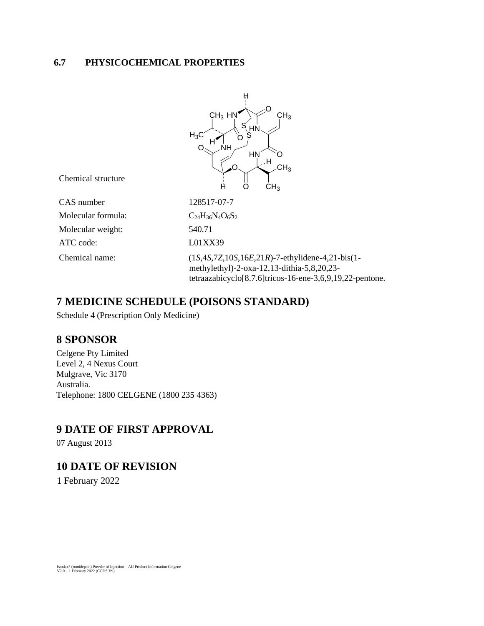# **6.7 PHYSICOCHEMICAL PROPERTIES**

|                    | н                                                                                                                                                                 |
|--------------------|-------------------------------------------------------------------------------------------------------------------------------------------------------------------|
| Chemical structure | $CH3$ HN<br>CH <sub>3</sub><br>S΄ <sub>HN</sub><br>> S<br>$H_3C$<br>п<br><b>NH</b><br>HN<br>.H<br>CH <sub>3</sub>                                                 |
|                    | Н<br>CH <sub>3</sub><br>O                                                                                                                                         |
| CAS number         | 128517-07-7                                                                                                                                                       |
| Molecular formula: | $C_{24}H_{36}N_{4}O_{6}S_{2}$                                                                                                                                     |
| Molecular weight:  | 540.71                                                                                                                                                            |
| ATC code:          | L01XX39                                                                                                                                                           |
| Chemical name:     | $(1S, 4S, 7Z, 10S, 16E, 21R)$ -7-ethylidene-4,21-bis(1-<br>methylethyl)-2-oxa-12,13-dithia-5,8,20,23-<br>tetraazabicyclo[8.7.6]tricos-16-ene-3,6,9,19,22-pentone. |

# **7 MEDICINE SCHEDULE (POISONS STANDARD)**

Schedule 4 (Prescription Only Medicine)

# **8 SPONSOR**

Celgene Pty Limited Level 2, 4 Nexus Court Mulgrave, Vic 3170 Australia. Telephone: 1800 CELGENE (1800 235 4363)

# **9 DATE OF FIRST APPROVAL**

07 August 2013

# **10 DATE OF REVISION**

1 February 2022